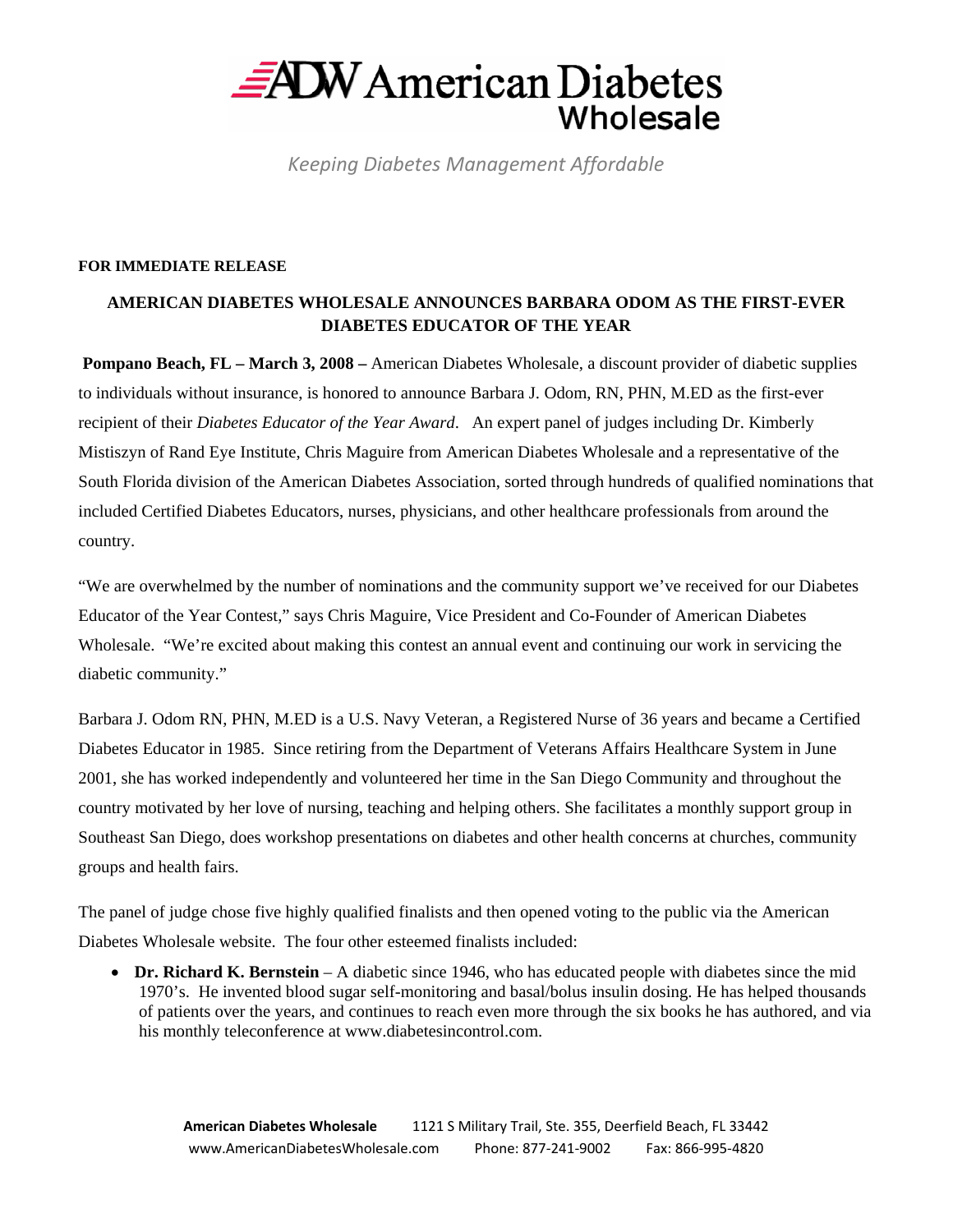

*Keeping Diabetes Management Affordable*

## **FOR IMMEDIATE RELEASE**

## **AMERICAN DIABETES WHOLESALE ANNOUNCES BARBARA ODOM AS THE FIRST-EVER DIABETES EDUCATOR OF THE YEAR**

 **Pompano Beach, FL – March 3, 2008 – American Diabetes Wholesale, a discount provider of diabetic supplies** to individuals without insurance, is honored to announce Barbara J. Odom, RN, PHN, M.ED as the first-ever recipient of their *Diabetes Educator of the Year Award*. An expert panel of judges including Dr. Kimberly Mistiszyn of Rand Eye Institute, Chris Maguire from American Diabetes Wholesale and a representative of the South Florida division of the American Diabetes Association, sorted through hundreds of qualified nominations that included Certified Diabetes Educators, nurses, physicians, and other healthcare professionals from around the country.

"We are overwhelmed by the number of nominations and the community support we've received for our Diabetes Educator of the Year Contest," says Chris Maguire, Vice President and Co-Founder of American Diabetes Wholesale. "We're excited about making this contest an annual event and continuing our work in servicing the diabetic community."

Barbara J. Odom RN, PHN, M.ED is a U.S. Navy Veteran, a Registered Nurse of 36 years and became a Certified Diabetes Educator in 1985. Since retiring from the Department of Veterans Affairs Healthcare System in June 2001, she has worked independently and volunteered her time in the San Diego Community and throughout the country motivated by her love of nursing, teaching and helping others. She facilitates a monthly support group in Southeast San Diego, does workshop presentations on diabetes and other health concerns at churches, community groups and health fairs.

The panel of judge chose five highly qualified finalists and then opened voting to the public via the American Diabetes Wholesale website. The four other esteemed finalists included:

• **Dr. Richard K. Bernstein** – A diabetic since 1946, who has educated people with diabetes since the mid 1970's. He invented blood sugar self-monitoring and basal/bolus insulin dosing. He has helped thousands of patients over the years, and continues to reach even more through the six books he has authored, and via his monthly teleconference at www.diabetesincontrol.com.